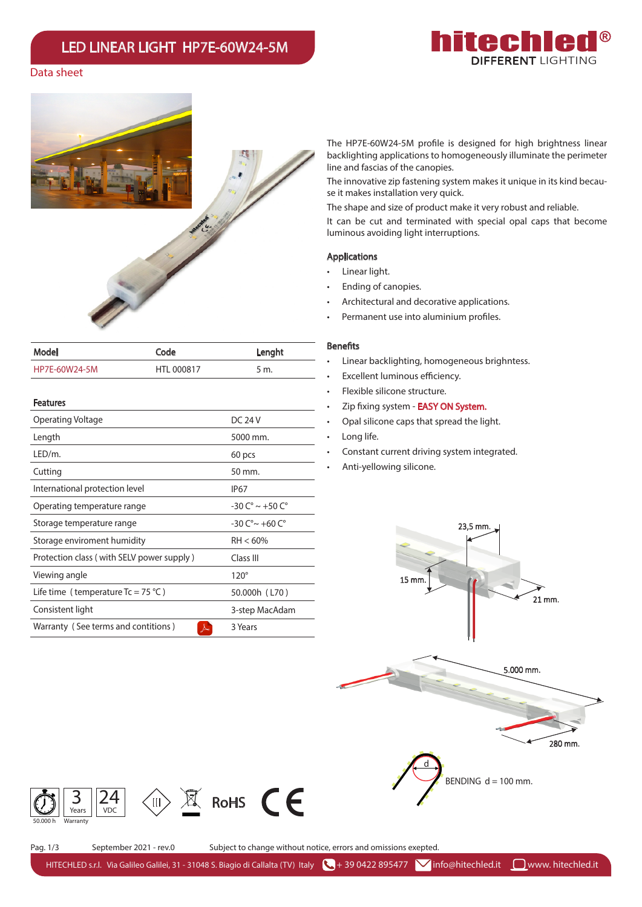# LED LINEAR LIGHT HP7E-60W24-5M



## Data sheet



| Model                                     | Code           | Lenght                               |  |
|-------------------------------------------|----------------|--------------------------------------|--|
| HP7E-60W24-5M                             | HTL 000817     | 5 m.                                 |  |
| <b>Features</b>                           |                |                                      |  |
| Operating Voltage                         | <b>DC 24 V</b> |                                      |  |
| Length                                    |                | 5000 mm.                             |  |
| LED/m.                                    |                | 60 pcs                               |  |
| Cutting                                   |                | 50 mm.                               |  |
| International protection level            |                | IP <sub>67</sub>                     |  |
| Operating temperature range               |                | $-30 C^{\circ} \sim +50 C^{\circ}$   |  |
| Storage temperature range                 |                | $-30C^{\circ}$ $\sim$ $+60C^{\circ}$ |  |
| Storage enviroment humidity               |                | $RH < 60\%$                          |  |
| Protection class (with SELV power supply) |                | Class III                            |  |
| Viewing angle                             |                | $120^\circ$                          |  |
| Life time (temperature $Tc = 75$ °C)      |                | 50.000h (L70)                        |  |
| Consistent light                          |                | 3-step MacAdam                       |  |
| Warranty (See terms and contitions)<br>人  |                | 3 Years                              |  |

The HP7E-60W24-5M profile is designed for high brightness linear backlighting applications to homogeneously illuminate the perimeter line and fascias of the canopies.

The innovative zip fastening system makes it unique in its kind because it makes installation very quick.

The shape and size of product make it very robust and reliable. It can be cut and terminated with special opal caps that become luminous avoiding light interruptions.

#### Applications

- Linear light.
- Ending of canopies.
- Architectural and decorative applications.
- Permanent use into aluminium profiles.

## **Benefits**

- Linear backlighting, homogeneous brighntess.
- Excellent luminous efficiency.
- Flexible silicone structure.
- Zip fixing system **EASY ON System.**
- Opal silicone caps that spread the light.
- Long life.
- Constant current driving system integrated.
- Anti-yellowing silicone.



24

 $0.000 h$  Warranty

3 Years

 $\binom{1}{1}$ 

Pag. 1/3 September 2021 - rev.0 Subject to change without notice, errors and omissions exepted.

HITECHLED s.r.l. Via Galileo Galilei, 31 - 31048 S. Biagio di Callalta (TV) Italy  $\bigcup_i$  + 39 0422 895477  $\bigvee$  info@hitechled.it  $\bigcup_i$ www. hitechled.it

 $X$  RoHS  $CE$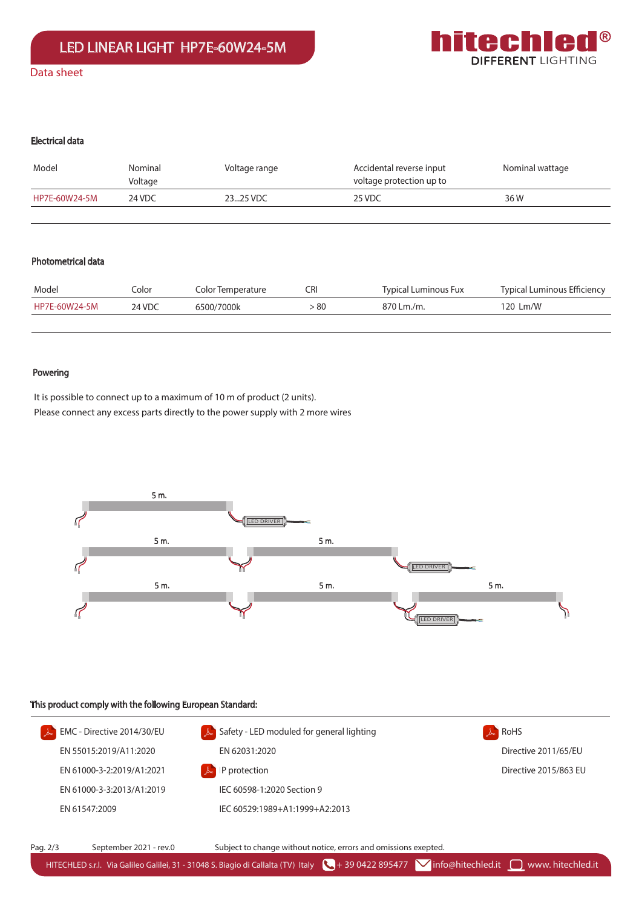

## Electrical data

| Model         | Nominal<br>Voltage | Voltage range | Accidental reverse input<br>voltage protection up to | Nominal wattage |
|---------------|--------------------|---------------|------------------------------------------------------|-----------------|
| HP7E-60W24-5M | 24 VDC             | 2325 VDC      | 25 VDC                                               | 36 W            |
|               |                    |               |                                                      |                 |

## Photometrical data

| Model         | Iolor  | Color Temperature | CRI  | Typical Luminous Fux | Typical Luminous Efficiency |
|---------------|--------|-------------------|------|----------------------|-----------------------------|
| HP7E-60W24-5M | 24 VDC | 6500/7000k        | > 80 | 870 Lm./m.           | 120 Lm/W                    |
|               |        |                   |      |                      |                             |

## Powering

It is possible to connect up to a maximum of 10 m of product (2 units). Please connect any excess parts directly to the power supply with 2 more wires



#### This product comply with the following European Standard: